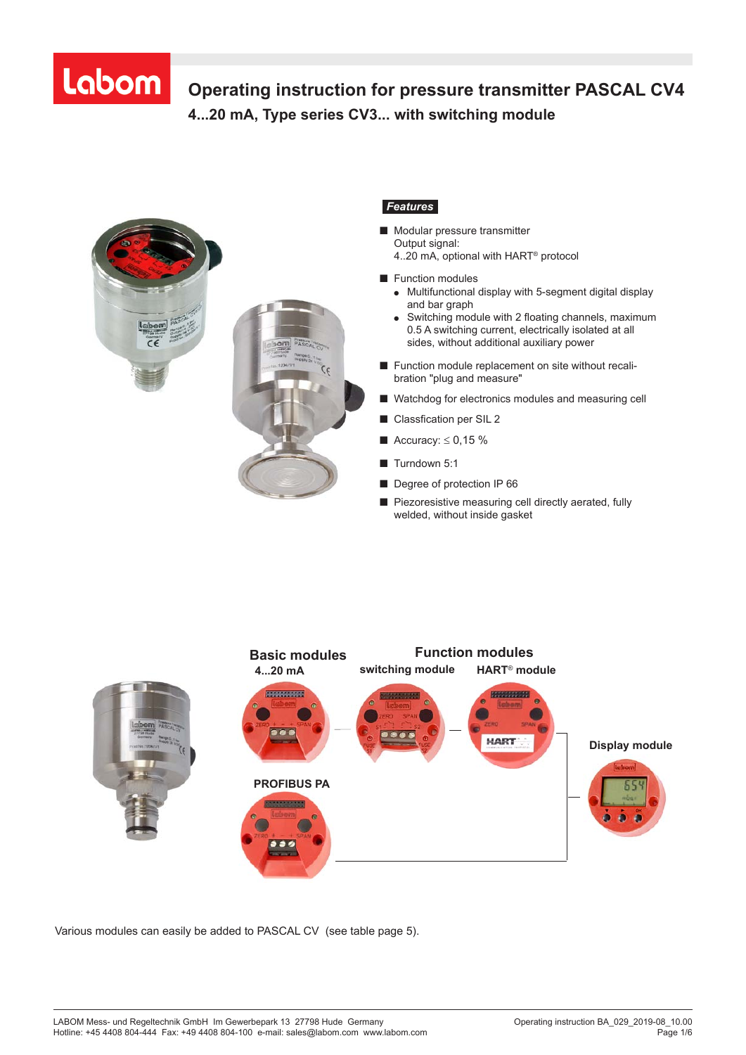# Labom

### **Operating instruction for pressure transmitter PASCAL CV4 4...20 mA, Type series CV3... with switching module Operating Instructions for pressure transmitter**



#### *Features*

- Modular pressure transmitter Output signal: 4..20 mA, optional with HART® protocol
- Function modules
	- Multifunctional display with 5-segment digital display and bar graph
	- Switching module with 2 floating channels, maximum 0.5 A switching current, electrically isolated at all sides, without additional auxiliary power
- Function module replacement on site without recalibration "plug and measure"
- Watchdog for electronics modules and measuring cell
- Classfication per SIL 2
- $\blacksquare$  Accuracy:  $\leq 0.15$  %
- Turndown 5:1
- Degree of protection IP 66
- Piezoresistive measuring cell directly aerated, fully welded, without inside gasket



Various modules can easily be added to PASCAL CV (see table page 5).

*Further information required? Hotline +49 (0) 4408 804-444*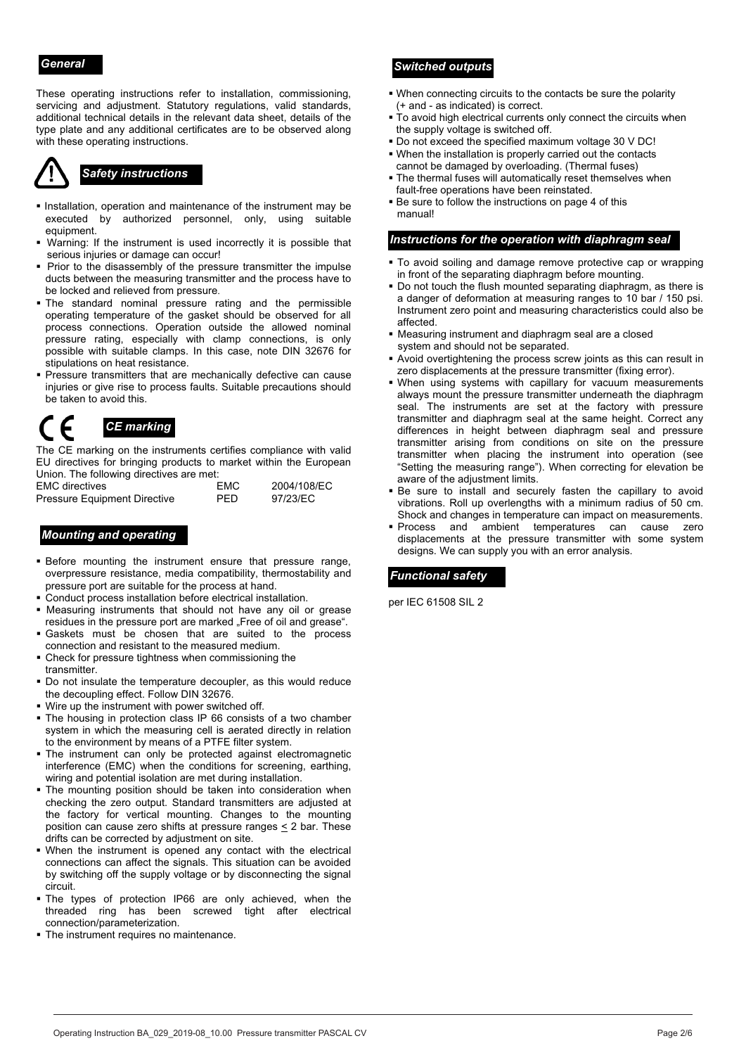These operating instructions refer to installation, commissioning, servicing and adjustment. Statutory regulations, valid standards, additional technical details in the relevant data sheet, details of the type plate and any additional certificates are to be observed along with these operating instructions.

- **Installation, operation and maintenance of the instrument may be** executed by authorized personnel, only, using suitable equipment.
- Warning: If the instrument is used incorrectly it is possible that serious injuries or damage can occur!
- Prior to the disassembly of the pressure transmitter the impulse ducts between the measuring transmitter and the process have to be locked and relieved from pressure.
- The standard nominal pressure rating and the permissible operating temperature of the gasket should be observed for all process connections. Operation outside the allowed nominal pressure rating, especially with clamp connections, is only possible with suitable clamps. In this case, note DIN 32676 for stipulations on heat resistance.
- **Pressure transmitters that are mechanically defective can cause** injuries or give rise to process faults. Suitable precautions should be taken to avoid this.

## *CE marking*

The CE marking on the instruments certifies compliance with valid EU directives for bringing products to market within the European Union. The following directives are met:

| .<br><b>EMC</b> directives   | <b>FMC</b> | 2004/108/EC |
|------------------------------|------------|-------------|
| Pressure Equipment Directive | <b>PFD</b> | 97/23/EC    |

#### *Mounting and operating*

- Before mounting the instrument ensure that pressure range, overpressure resistance, media compatibility, thermostability and pressure port are suitable for the process at hand.
- Conduct process installation before electrical installation.
- Measuring instruments that should not have any oil or grease residues in the pressure port are marked "Free of oil and grease".
- Gaskets must be chosen that are suited to the process connection and resistant to the measured medium.
- Check for pressure tightness when commissioning the transmitter.
- Do not insulate the temperature decoupler, as this would reduce the decoupling effect. Follow DIN 32676.
- Wire up the instrument with power switched off.
- The housing in protection class IP 66 consists of a two chamber system in which the measuring cell is aerated directly in relation to the environment by means of a PTFE filter system.
- The instrument can only be protected against electromagnetic interference (EMC) when the conditions for screening, earthing, wiring and potential isolation are met during installation.
- **The mounting position should be taken into consideration when** checking the zero output. Standard transmitters are adjusted at the factory for vertical mounting. Changes to the mounting position can cause zero shifts at pressure ranges  $\leq$  2 bar. These drifts can be corrected by adjustment on site.
- When the instrument is opened any contact with the electrical connections can affect the signals. This situation can be avoided by switching off the supply voltage or by disconnecting the signal circuit.
- The types of protection IP66 are only achieved, when the threaded ring has been screwed tight after electrical connection/parameterization.
- The instrument requires no maintenance.

#### *General Switched outputs*

- When connecting circuits to the contacts be sure the polarity (+ and - as indicated) is correct.
- To avoid high electrical currents only connect the circuits when the supply voltage is switched off.
- Do not exceed the specified maximum voltage 30 V DC!
- When the installation is properly carried out the contacts cannot be damaged by overloading. (Thermal fuses)
- Safety instructions<br>The thermal fuses will automatically reset themselves when **Safety** instructions **Safety** instructions **SAFETY** fault-free operations have been reinstated.
	- Be sure to follow the instructions on page 4 of this manual!

#### *Instructions for the operation with diaphragm seal*

- To avoid soiling and damage remove protective cap or wrapping in front of the separating diaphragm before mounting.
- Do not touch the flush mounted separating diaphragm, as there is a danger of deformation at measuring ranges to 10 bar / 150 psi. Instrument zero point and measuring characteristics could also be affected.
- Measuring instrument and diaphragm seal are a closed system and should not be separated.
- Avoid overtightening the process screw joints as this can result in zero displacements at the pressure transmitter (fixing error).
- When using systems with capillary for vacuum measurements always mount the pressure transmitter underneath the diaphragm seal. The instruments are set at the factory with pressure transmitter and diaphragm seal at the same height. Correct any differences in height between diaphragm seal and pressure transmitter arising from conditions on site on the pressure transmitter when placing the instrument into operation (see "Setting the measuring range"). When correcting for elevation be aware of the adjustment limits.
- Be sure to install and securely fasten the capillary to avoid vibrations. Roll up overlengths with a minimum radius of 50 cm. Shock and changes in temperature can impact on measurements.
- **Process** and ambient temperatures can cause zero displacements at the pressure transmitter with some system designs. We can supply you with an error analysis.

#### *Functional safety*

per IEC 61508 SIL 2

BTA-No. 029 1J2 Page 2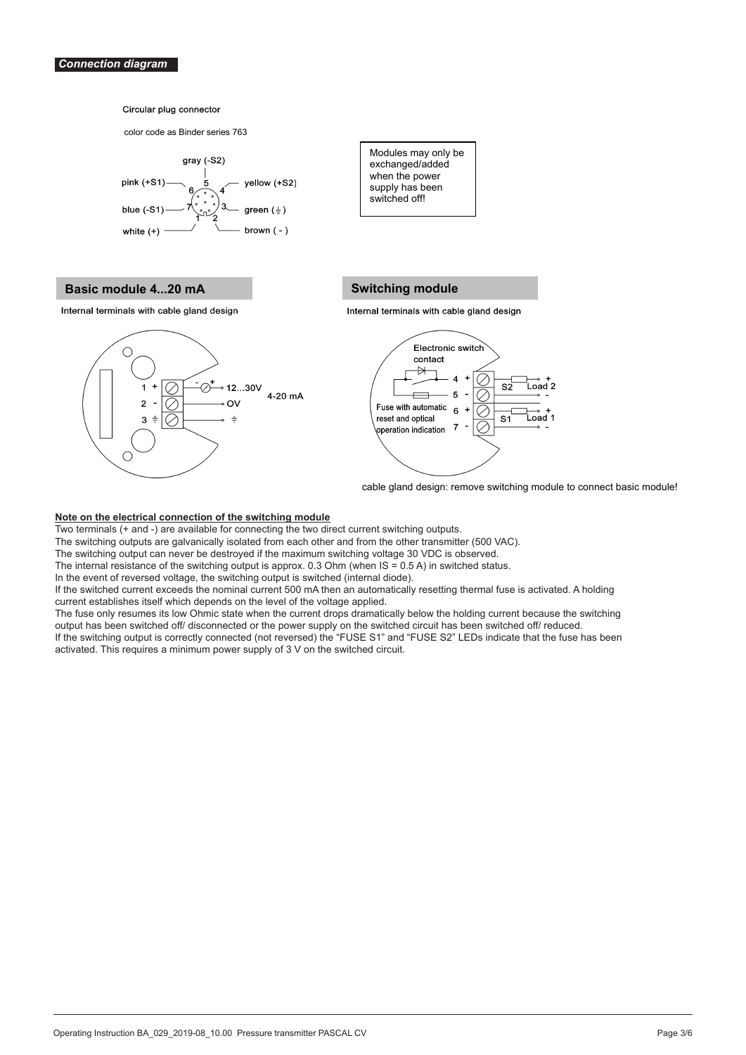color code as Binder series 763



### **Basic module 4...20 mA** Switching module



**Switched off!** Modules may only be exchanged/added when the power supply has been

#### **Switching module**

Two terminals with only a don't always the two direct current sympaths in the two direct current sympaths. The two direct current sympaths of contact current sympaths of the two direct current sympaths of the two direct cu The switching outputs are galvanical lines in the other and from the other and from the other transmitter (500 VAC).



cable gland design: remove switching module to connect basic module!

#### **Note on the electrical connection of the switching module**

Two terminals (+ and -) are available for connecting the two direct current switching outputs. Two terminals (+ and -) are available for connecting the two direct current switching outputs.

The switching outputs are galvanically isolated from each other and from the other transmitter (500 VAC).

The switching output can never be destroyed if the maximum switching voltage 30 VDC is observed. The switching output can never be destroyed if the maximum switching voltage 30 VDC is observed.

The internal resistance of the switching output is approx. 0.3 Ohm (when IS = 0.5 A) in switched status. The internal resistance of the switching output is approx. 0.3 Ohm (when IS = 0.5 A) in switched status.

In the event of reversed voltage, the switching output is switched (internal diode). In the event of reversed voltage, the switching output is switched (internal diode).

ned (internal diode*).*<br>hen an automatically resetting thermal fuse is activated. A holding current establishes itself which depends on the voltage applied. The voltage applied of the voltage applied. If the switched current exceeds the nominal current 500 mA then an automatically resetting thermal fuse is activated. A holding current establishes itself which depends on the level of the voltage applied.

The fuse only resumes its low Ohmic state when the current drops dramatically below the holding current because the switching output has been switched off/ disconnected or the power supply on the switched circuit has been switched off/ reduced. If the switching output is correctly connected (not reversed) the "FUSE S1" and "FUSE S2" LEDs indicate that the fuse has been

If the switching output is correctly connected (not reversed) the "FUSE S1" and "FUSE S2" LEDs indicate that the fuse has been<br>ostiveted. This requires a minimum nauge supply of 3 V on the audtabed sireuit. activated. This requires a minimum power supply of 3 V on the switched circuit.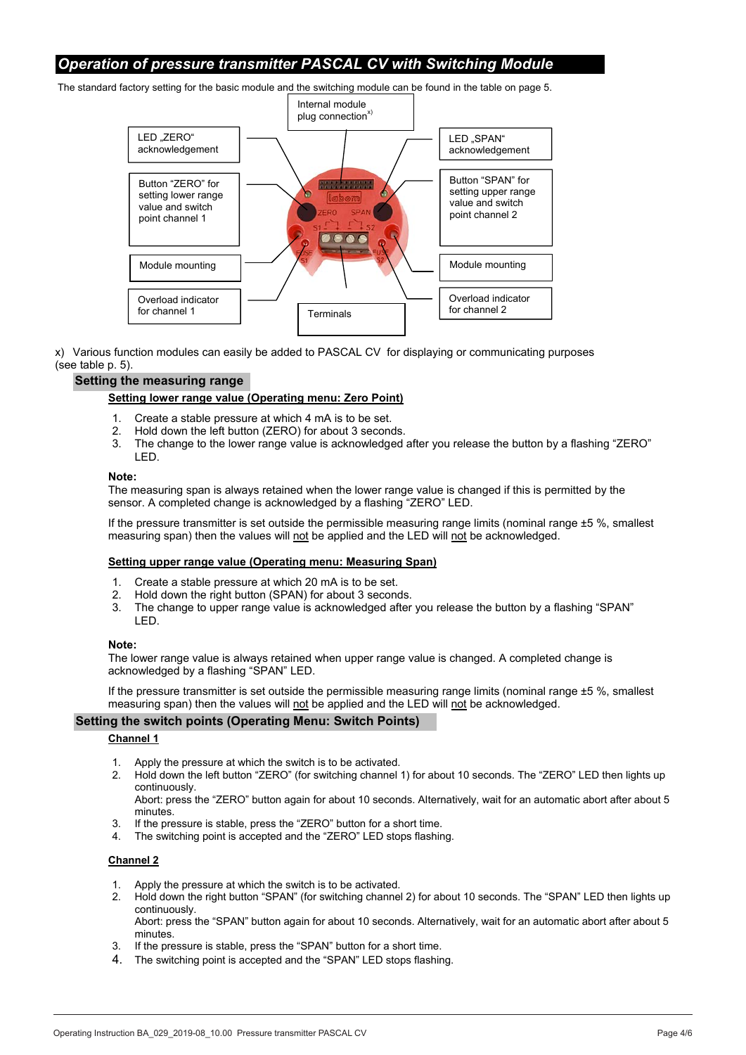#### *Operation of pressure transmitter PASCAL CV with Switching Module*

The standard factory setting for the basic module and the switching module can be found in the table on page 5.



x) Various function modules can easily be added to PASCAL CV for displaying or communicating purposes (see table p. 5).

#### **Setting the measuring range**

#### **Setting lower range value (Operating menu: Zero Point)**

- 1. Create a stable pressure at which 4 mA is to be set.
- 2. Hold down the left button (ZERO) for about 3 seconds.<br>3. The change to the lower range value is acknowledged
- The change to the lower range value is acknowledged after you release the button by a flashing "ZERO" LED.

#### **Note:**

The measuring span is always retained when the lower range value is changed if this is permitted by the sensor. A completed change is acknowledged by a flashing "ZERO" LED.

If the pressure transmitter is set outside the permissible measuring range limits (nominal range ±5 %, smallest measuring span) then the values will not be applied and the LED will not be acknowledged.

#### **Setting upper range value (Operating menu: Measuring Span)**

- 1. Create a stable pressure at which 20 mA is to be set.
- 2. Hold down the right button (SPAN) for about 3 seconds.
- 3. The change to upper range value is acknowledged after you release the button by a flashing "SPAN" LED.

#### **Note:**

The lower range value is always retained when upper range value is changed. A completed change is acknowledged by a flashing "SPAN" LED.

If the pressure transmitter is set outside the permissible measuring range limits (nominal range ±5 %, smallest measuring span) then the values will not be applied and the LED will not be acknowledged.

#### **Setting the switch points (Operating Menu: Switch Points)**

#### **Channel 1**

- 1. Apply the pressure at which the switch is to be activated.
- 2. Hold down the left button "ZERO" (for switching channel 1) for about 10 seconds. The "ZERO" LED then lights up continuously.

Abort: press the "ZERO" button again for about 10 seconds. Alternatively, wait for an automatic abort after about 5 minutes.

- 3. If the pressure is stable, press the "ZERO" button for a short time.
- 4. The switching point is accepted and the "ZERO" LED stops flashing.

#### **Channel 2**

- 1. Apply the pressure at which the switch is to be activated.
- 2. Hold down the right button "SPAN" (for switching channel 2) for about 10 seconds. The "SPAN" LED then lights up continuously.
	- Abort: press the "SPAN" button again for about 10 seconds. Alternatively, wait for an automatic abort after about 5 minutes.
- 3. If the pressure is stable, press the "SPAN" button for a short time.
- 4. The switching point is accepted and the "SPAN" LED stops flashing.

BTA-No. 029 Rev. 0F3 P. 6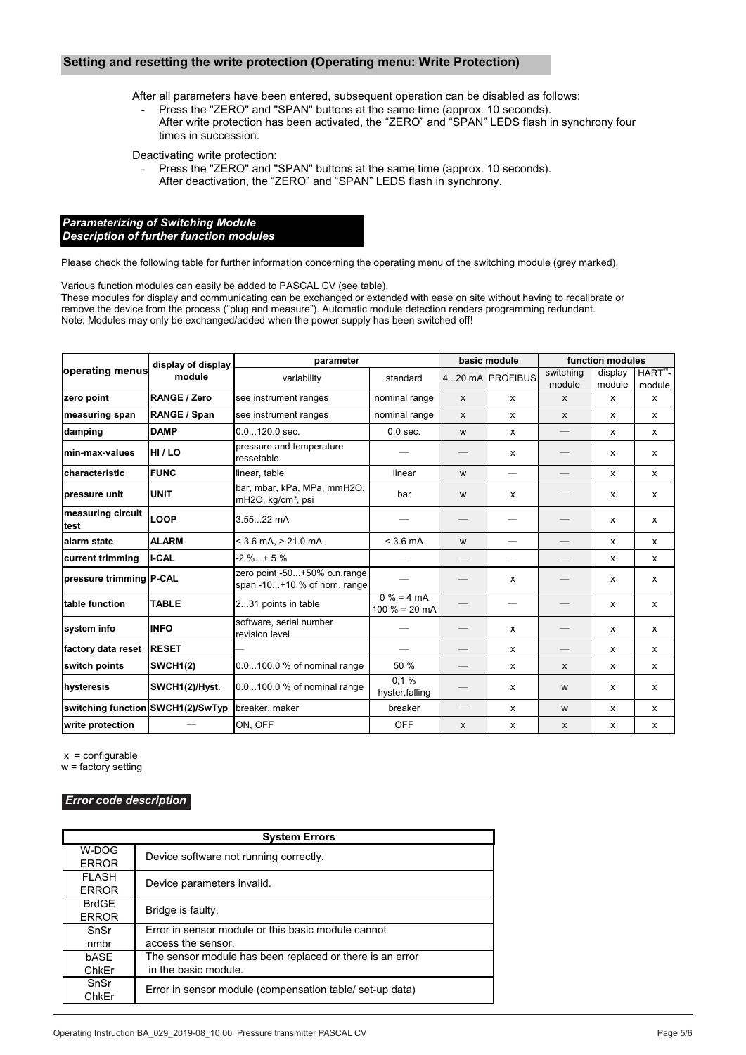#### **Setting and resetting the write protection (Operating menu: Write Protection)**

After all parameters have been entered, subsequent operation can be disabled as follows:

Press the "ZERO" and "SPAN" buttons at the same time (approx. 10 seconds). After write protection has been activated, the "ZERO" and "SPAN" LEDS flash in synchrony four times in succession.

Deactivating write protection:

Press the "ZERO" and "SPAN" buttons at the same time (approx. 10 seconds). After deactivation, the "ZERO" and "SPAN" LEDS flash in synchrony.

#### *Parameterizing of Switching Module Description of further function modules*

Please check the following table for further information concerning the operating menu of the switching module (grey marked).

Various function modules can easily be added to PASCAL CV (see table).

These modules for display and communicating can be exchanged or extended with ease on site without having to recalibrate or remove the device from the process ("plug and measure"). Automatic module detection renders programming redundant. Note: Modules may only be exchanged/added when the power supply has been switched off!

|                                   | display of display<br>module | parameter                                                     |                                 | basic module      |                 | function modules         |              |                             |
|-----------------------------------|------------------------------|---------------------------------------------------------------|---------------------------------|-------------------|-----------------|--------------------------|--------------|-----------------------------|
| ∣operating menus                  |                              | variability                                                   | standard                        |                   | 420 mA PROFIBUS | switching                | display      | $HART^{\overline{\otimes}}$ |
| zero point                        | RANGE / Zero                 | see instrument ranges                                         | nominal range                   | $\mathsf{x}$      |                 | module<br>$\mathsf{x}$   | module<br>x  | module<br>$\mathsf{x}$      |
|                                   |                              |                                                               |                                 |                   | $\mathsf{x}$    |                          |              |                             |
| measuring span                    | RANGE / Span                 | see instrument ranges                                         | nominal range                   | $\mathsf{x}$      | $\mathsf{x}$    | $\mathsf{x}$             | $\mathsf{x}$ | $\mathsf{x}$                |
| damping                           | <b>DAMP</b>                  | $0.0120.0$ sec.                                               | $0.0$ sec.                      | W                 | $\mathsf{x}$    |                          | $\mathsf{x}$ | $\mathsf{x}$                |
| min-max-values                    | HI/LO                        | pressure and temperature<br>ressetable                        |                                 |                   | $\mathsf{x}$    |                          | $\mathsf{x}$ | $\mathsf{x}$                |
| characteristic                    | <b>FUNC</b>                  | linear, table                                                 | linear                          | W                 |                 |                          | $\mathsf{x}$ | $\mathsf{x}$                |
| pressure unit                     | <b>UNIT</b>                  | bar, mbar, kPa, MPa, mmH2O,<br>mH2O, kg/cm <sup>2</sup> , psi | bar                             | W                 | $\mathsf{x}$    |                          | $\mathsf{x}$ | $\mathsf{x}$                |
| measuring circuit<br>test         | <b>LOOP</b>                  | $3.5522$ mA                                                   |                                 |                   |                 |                          | $\mathsf{x}$ | $\mathsf{x}$                |
| alarm state                       | <b>ALARM</b>                 | $<$ 3.6 mA, $>$ 21.0 mA                                       | $<$ 3.6 mA                      | w                 |                 |                          | $\mathsf{x}$ | $\mathsf{x}$                |
| current trimming                  | I-CAL                        | $-2 \% + 5 \%$                                                |                                 |                   |                 |                          | $\mathsf{x}$ | x                           |
| pressure trimming P-CAL           |                              | zero point -50+50% o.n.range<br>span -10+10 % of nom. range   |                                 |                   | x               |                          | x            | x                           |
| table function                    | <b>TABLE</b>                 | 231 points in table                                           | $0% = 4 mA$<br>$100 \% = 20 mA$ |                   |                 |                          | $\mathsf{x}$ | x                           |
| system info                       | <b>INFO</b>                  | software, serial number<br>revision level                     |                                 |                   | $\mathsf{x}$    | $\overline{\phantom{0}}$ | x            | $\mathsf{x}$                |
| factory data reset                | <b>RESET</b>                 |                                                               | $\qquad \qquad -$               | $\qquad \qquad -$ | $\mathsf{x}$    |                          | $\mathsf{x}$ | x                           |
| switch points                     | <b>SWCH1(2)</b>              | 0.0100.0 % of nominal range                                   | 50 %                            |                   | $\mathsf{x}$    | $\mathsf{x}$             | $\mathsf{x}$ | $\mathsf{x}$                |
| hysteresis                        | SWCH1(2)/Hyst.               | $0.0100.0$ % of nominal range                                 | 0.1%<br>hyster.falling          |                   | $\mathsf{x}$    | W                        | $\mathsf{x}$ | $\mathsf{x}$                |
| switching function SWCH1(2)/SwTyp |                              | breaker, maker                                                | breaker                         | $\qquad \qquad -$ | $\mathsf{x}$    | W                        | $\mathsf{x}$ | $\mathsf{x}$                |
| write protection                  |                              | ON, OFF                                                       | <b>OFF</b>                      | $\mathsf{x}$      | $\mathsf{x}$    | $\mathsf{x}$             | $\mathsf{x}$ | x                           |

 $x =$  configurable

w = factory setting

#### *Error code description*

| <b>System Errors</b> |                                                          |  |  |  |
|----------------------|----------------------------------------------------------|--|--|--|
| W-DOG                | Device software not running correctly.                   |  |  |  |
| <b>ERROR</b>         |                                                          |  |  |  |
| FLASH                | Device parameters invalid.                               |  |  |  |
| <b>ERROR</b>         |                                                          |  |  |  |
| BrdGE                | Bridge is faulty.                                        |  |  |  |
| <b>ERROR</b>         |                                                          |  |  |  |
| SnSr                 | Error in sensor module or this basic module cannot       |  |  |  |
| nmbr                 | access the sensor.                                       |  |  |  |
| bASE                 | The sensor module has been replaced or there is an error |  |  |  |
| ChkEr                | in the basic module.                                     |  |  |  |
| SnSr                 | Error in sensor module (compensation table/ set-up data) |  |  |  |
| ChkEr                |                                                          |  |  |  |